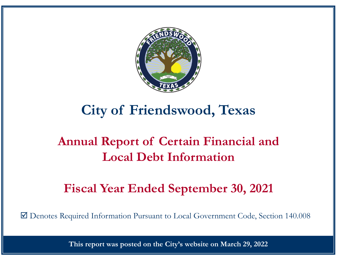

# **City of Friendswood, Texas**

# **Annual Report of Certain Financial and Local Debt Information**

# **Fiscal Year Ended September 30, 2021**

Denotes Required Information Pursuant to Local Government Code, Section 140.008

**This report was posted on the City's website on March 29, 2022**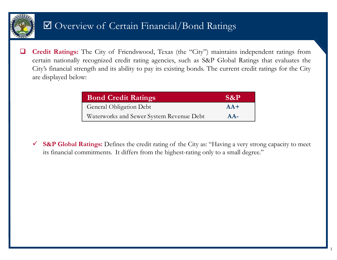

# Overview of Certain Financial/Bond Ratings

 $\Box$  **Credit Ratings:** The City of Friendswood, Texas (the "City") maintains independent ratings from certain nationally recognized credit rating agencies, such as S&P Global Ratings that evaluates the City's financial strength and its ability to pay its existing bonds. The current credit ratings for the City are displayed below:

| <b>Bond Credit Ratings</b>               | $\mathbf{S\&P}$ |
|------------------------------------------|-----------------|
| <b>General Obligation Debt</b>           | $AA+$           |
| Waterworks and Sewer System Revenue Debt | $AA-$           |

 **S&P Global Ratings:** Defines the credit rating of the City as: "Having <sup>a</sup> very strong capacity to meet its financial commitments. It differs from the highest-rating only to <sup>a</sup> small degree."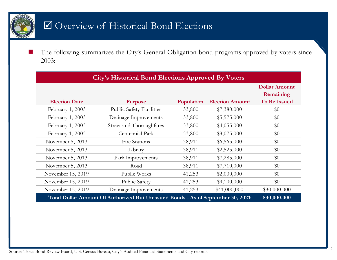

### Overview of Historical Bond Elections

T. The following summarizes the City's General Obligation bond programs approved by voters since 2003:

| <b>City's Historical Bond Elections Approved By Voters</b>                                       |                                 |            |                        |                                   |  |  |  |  |  |  |
|--------------------------------------------------------------------------------------------------|---------------------------------|------------|------------------------|-----------------------------------|--|--|--|--|--|--|
|                                                                                                  |                                 |            |                        | <b>Dollar Amount</b><br>Remaining |  |  |  |  |  |  |
| <b>Election Date</b>                                                                             | <b>Purpose</b>                  | Population | <b>Election Amount</b> | <b>To Be Issued</b>               |  |  |  |  |  |  |
| February 1, 2003                                                                                 | <b>Public Safety Facilities</b> | 33,800     | \$7,380,000            | \$0                               |  |  |  |  |  |  |
| February 1, 2003                                                                                 | Drainage Improvements           | 33,800     | \$5,575,000            | \$0                               |  |  |  |  |  |  |
| February 1, 2003                                                                                 | Street and Thoroughfares        | 33,800     | \$4,055,000            | \$0                               |  |  |  |  |  |  |
| February 1, 2003                                                                                 | Centennial Park                 | 33,800     | \$3,075,000            | \$0                               |  |  |  |  |  |  |
| November 5, 2013                                                                                 | Fire Stations                   | 38,911     | \$6,565,000            | \$0                               |  |  |  |  |  |  |
| November 5, 2013                                                                                 | Library                         | 38,911     | \$2,525,000            | \$0                               |  |  |  |  |  |  |
| November 5, 2013                                                                                 | Park Improvements               | 38,911     | \$7,285,000            | \$0                               |  |  |  |  |  |  |
| November 5, 2013                                                                                 | Road                            | 38,911     | \$7,710,000            | \$0                               |  |  |  |  |  |  |
| November 15, 2019                                                                                | Public Works                    | 41,253     | \$2,000,000            | \$0                               |  |  |  |  |  |  |
| November 15, 2019                                                                                | Public Safety                   | 41,253     | \$9,100,000            | \$0                               |  |  |  |  |  |  |
| November 15, 2019                                                                                | Drainage Improvements           | 41,253     | \$41,000,000           | \$30,000,000                      |  |  |  |  |  |  |
| \$30,000,000<br>Total Dollar Amount Of Authorized But Unissued Bonds - As of September 30, 2021: |                                 |            |                        |                                   |  |  |  |  |  |  |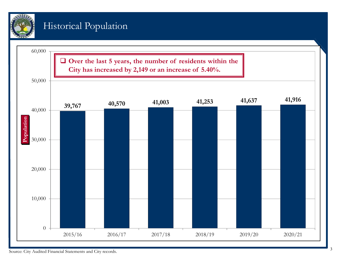

### Historical Population

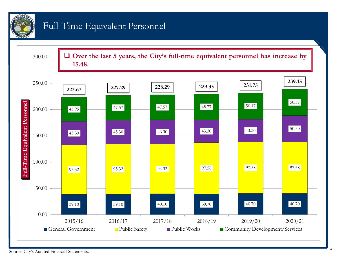

### Full-Time Equivalent Personnel

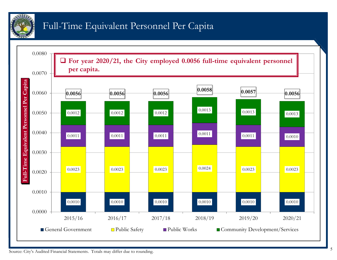

# Full-Time Equivalent Personnel Per Capita

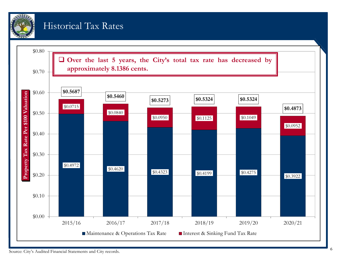

#### Historical Tax Rates

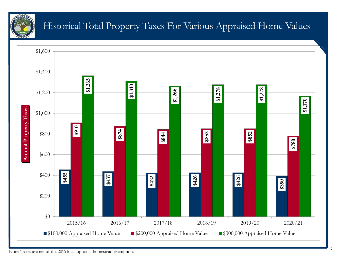

## Historical Total Property Taxes For Various Appraised Home Values



Note: Taxes are net of the 20% local optional homestead exemption.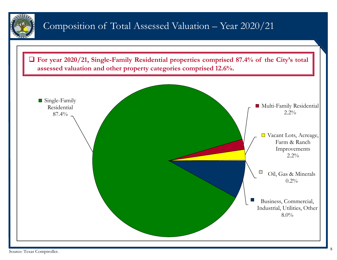

### Composition of Total Assessed Valuation – Year 2020/21



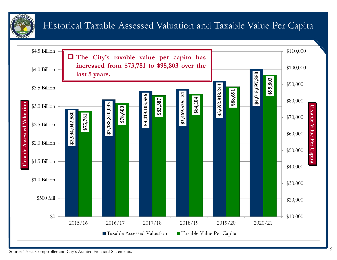

# Historical Taxable Assessed Valuation and Taxable Value Per Capita

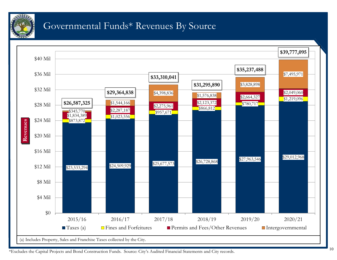

#### Governmental Funds\* Revenues By Source



\*Excludes the Capital Projects and Bond Construction Funds. Source: City's Audited Financial Statements and City records.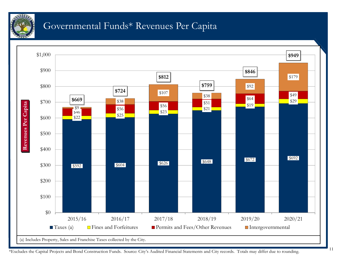

#### Governmental Funds\* Revenues Per Capita



\*Excludes the Capital Projects and Bond Construction Funds. Source: City's Audited Financial Statements and City records. Totals may differ due to rounding.

11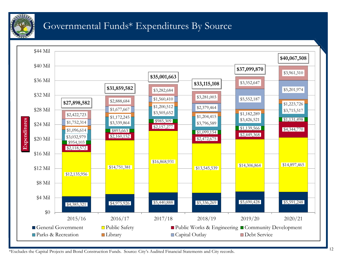

### Governmental Funds\* Expenditures By Source



\*Excludes the Capital Projects and Bond Construction Funds. Source: City's Audited Financial Statements and City records.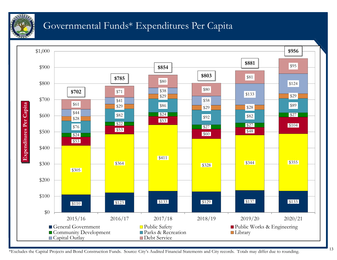

#### Governmental Funds\* Expenditures Per Capita



13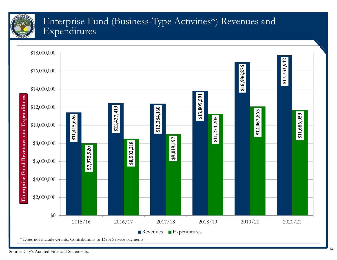

#### Enterprise Fund (Business-Type Activities\*) Revenues and Expenditures

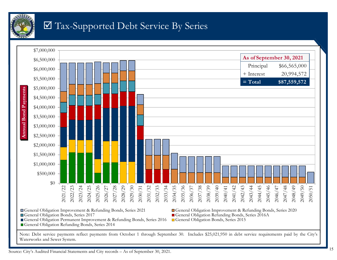

# Tax-Supported Debt Service By Series



Waterworks and Sewer System.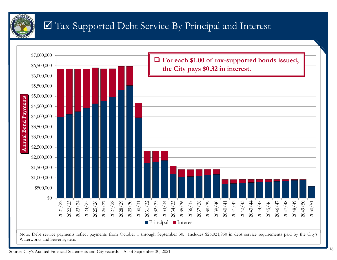

# Tax-Supported Debt Service By Principal and Interest

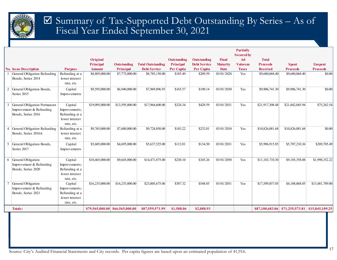

#### Summary of Tax-Supported Debt Outstanding By Series – As of Fiscal Year Ended September 30, 2021

|   |                                |                              |                  |                                 |                          |                    |                     |                 | <b>Partially</b><br><b>Secured by</b> |                 |                                                 |                 |
|---|--------------------------------|------------------------------|------------------|---------------------------------|--------------------------|--------------------|---------------------|-----------------|---------------------------------------|-----------------|-------------------------------------------------|-----------------|
|   |                                |                              | Original         |                                 |                          | <b>Outstanding</b> | <b>Outstanding</b>  | Final           | Ad                                    | <b>Total</b>    |                                                 |                 |
|   |                                |                              | <b>Principal</b> | <b>Outstanding</b>              | <b>Total Outstanding</b> | Principal          | <b>Debt Service</b> | <b>Maturity</b> | <b>Valorem</b>                        | <b>Proceeds</b> | <b>Spent</b>                                    | <b>Unspent</b>  |
|   | <b>No. Issue Description</b>   | <b>Purpose</b>               | <b>Amount</b>    | Principal                       | <b>Debt Service</b>      | <b>Per Capita</b>  | <b>Per Capita</b>   | <b>Date</b>     | <b>Taxes</b>                          | <b>Received</b> | <b>Proceeds</b>                                 | <b>Proceeds</b> |
|   | General Obligation Refunding   | Refunding at a               | \$8,805,000.00   | \$7,775,000.00                  | \$8,785,150.00           | \$185.49           | \$209.59            | 03/01/2028      | Yes                                   | \$9,680,068.40  | \$9,680,068.40                                  | \$0.00          |
|   | Bonds, Series 2014             | lower interest               |                  |                                 |                          |                    |                     |                 |                                       |                 |                                                 |                 |
|   |                                | rate, etc.                   |                  |                                 |                          |                    |                     |                 |                                       |                 |                                                 |                 |
| 2 | General Obligation Bonds,      | Capital                      | \$9,595,000.00   | \$6,940,000.00                  | \$7,969,896.93           | \$165.57           | \$190.14            | 03/01/2030      | Yes                                   | \$9,906,741.30  | \$9,906,741.30                                  | \$0.00          |
|   | Series 2015                    | Improvements                 |                  |                                 |                          |                    |                     |                 |                                       |                 |                                                 |                 |
|   |                                |                              |                  |                                 |                          |                    |                     |                 |                                       |                 |                                                 |                 |
| 3 | General Obligation Permanent   | Capital                      | \$19,095,000.00  | \$13,595,000.00                 | \$17,964,600.00          | \$324.34           | \$428.59            | 03/01/2031      | Yes                                   | \$21,917,308.48 | \$21,842,045.94                                 | \$75,262.54     |
|   | Improvement & Refunding        | Improvements;                |                  |                                 |                          |                    |                     |                 |                                       |                 |                                                 |                 |
|   | Bonds, Series 2016             | Refunding at a               |                  |                                 |                          |                    |                     |                 |                                       |                 |                                                 |                 |
|   |                                | lower interest               |                  |                                 |                          |                    |                     |                 |                                       |                 |                                                 |                 |
|   |                                | rate, etc.                   |                  |                                 |                          |                    |                     |                 |                                       |                 |                                                 |                 |
|   | 4 General Obligation Refunding | Refunding at a               | \$9,765,000.00   | \$7,680,000.00                  | \$9,724,850.00           | \$183.22           | \$232.01            | 03/01/2034      | Yes                                   | \$10,826,081.68 | \$10,826,081.68                                 | \$0.00          |
|   | Bonds, Series 2016A            | lower interest               |                  |                                 |                          |                    |                     |                 |                                       |                 |                                                 |                 |
|   |                                | rate, etc.                   |                  |                                 |                          |                    |                     |                 |                                       |                 |                                                 |                 |
|   | 5 General Obligation Bonds,    | Capital                      | \$5,605,000.00   | \$4,695,000.00                  | \$5,637,525.00           | \$112.01           | \$134.50            | 03/01/2031      | Yes                                   | \$5,996,915.85  | \$5,707,210.36                                  | \$289,705.49    |
|   | Series 2017                    | Improvements                 |                  |                                 |                          |                    |                     |                 |                                       |                 |                                                 |                 |
|   |                                |                              |                  |                                 |                          |                    |                     |                 |                                       |                 |                                                 |                 |
|   | 6 General Obligation           | Capital                      | \$10,465,000.00  | \$9,645,000.00                  | \$14,471,875.00          | \$230.10           | \$345.26            | 03/01/2050      | Yes                                   | \$11,183,710.30 | \$9,185,358.08                                  | \$1,998,352.22  |
|   | Improvement & Refunding        | Improvements;                |                  |                                 |                          |                    |                     |                 |                                       |                 |                                                 |                 |
|   | Bonds, Series 2020             | Refunding at a               |                  |                                 |                          |                    |                     |                 |                                       |                 |                                                 |                 |
|   |                                | lower interest<br>rate, etc. |                  |                                 |                          |                    |                     |                 |                                       |                 |                                                 |                 |
|   | General Obligation             | Capital                      | \$16,235,000.00  | \$16,235,000.00                 | \$23,005,675.06          | \$387.32           | \$548.85            | 03/01/2051      | Yes                                   | \$17,589,857.05 | \$4,108,068.05                                  | \$13,481,789.00 |
|   | Improvement & Refunding        | Improvements;                |                  |                                 |                          |                    |                     |                 |                                       |                 |                                                 |                 |
|   | Bonds, Series 2021             | Refunding at a               |                  |                                 |                          |                    |                     |                 |                                       |                 |                                                 |                 |
|   |                                | lower interest               |                  |                                 |                          |                    |                     |                 |                                       |                 |                                                 |                 |
|   |                                | rate, etc.                   |                  |                                 |                          |                    |                     |                 |                                       |                 |                                                 |                 |
|   | <b>Totals:</b>                 |                              |                  | \$79,565,000.00 \$66,565,000.00 | \$87,559,571.99          | \$1,588.06         | \$2,088.93          |                 |                                       |                 | \$87,100,683.06 \$71,255,573.81 \$15,845,109.25 |                 |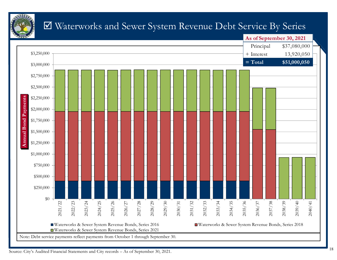

# Waterworks and Sewer System Revenue Debt Service By Series

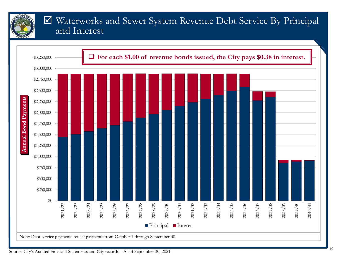

#### Waterworks and Sewer System Revenue Debt Service By Principal and Interest



Source: City's Audited Financial Statements and City records – As of September 30, 2021.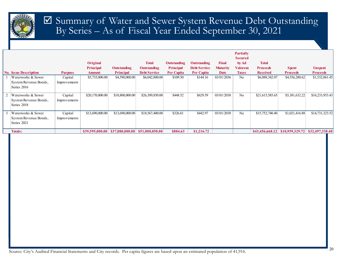

#### Summary of Water and Sewer System Revenue Debt Outstanding By Series – As of Fiscal Year Ended September 30, 2021

|          |                                                            |                         |                  |                    |                     |                    |                     |                 | <b>Partially</b><br><b>Secured</b> |                 |                 |                                 |
|----------|------------------------------------------------------------|-------------------------|------------------|--------------------|---------------------|--------------------|---------------------|-----------------|------------------------------------|-----------------|-----------------|---------------------------------|
|          |                                                            |                         | Original         |                    | <b>Total</b>        | <b>Outstanding</b> | <b>Outstanding</b>  | Final           | by Ad                              | <b>Total</b>    |                 |                                 |
|          |                                                            |                         | <b>Principal</b> | <b>Outstanding</b> | Outstanding         | <b>Principal</b>   | <b>Debt Service</b> | <b>Maturity</b> | Valorem                            | <b>Proceeds</b> | <b>Spent</b>    | <b>Unspent</b>                  |
|          | <b>No. Issue Description</b>                               | <b>Purpose</b>          | <b>Amount</b>    | <b>Principal</b>   | <b>Debt Service</b> | Per Capita         | <b>Per Capita</b>   | <b>Date</b>     | <b>Taxes</b>                       | <b>Received</b> | <b>Proceeds</b> | <b>Proceeds</b>                 |
|          | Waterworks & Sewer<br>System Revenue Bonds,<br>Series 2016 | Capital<br>Improvements | \$5,735,000.00   | \$4,590,000.00     | \$6,042,800.00      | \$109.50           | \$144.16            | 03/01/2036      | No                                 | \$6,088,342.07  | \$4,556,280.62  | \$1,532,061.45                  |
|          | Waterworks & Sewer<br>System Revenue Bonds,<br>Series 2018 | Capital<br>Improvements | \$20,170,000.00  | \$18,800,000.00    | \$26,389,850.00     | \$448.52           | \$629.59            | 03/01/2038      | N <sub>o</sub>                     | \$21,615,585.65 | \$5,381,632.22  | \$16,233,953.43                 |
| $\Delta$ | Waterworks & Sewer<br>System Revenue Bonds,<br>Series 2021 | Capital<br>Improvements | \$13,690,000.00  | \$13,690,000.00    | \$18,567,400.00     | \$326.61           | \$442.97            | 03/01/2038      | N <sub>o</sub>                     | \$15,752,740.40 | \$1,021,416.88  | \$14,731,323.52                 |
|          | <b>Totals:</b>                                             |                         | \$39,595,000.00  | \$37,080,000.00    | \$51,000,050.00     | \$884.63           | \$1,216.72          |                 |                                    | \$43,456,668.12 |                 | \$10,959,329.72 \$32,497,338.40 |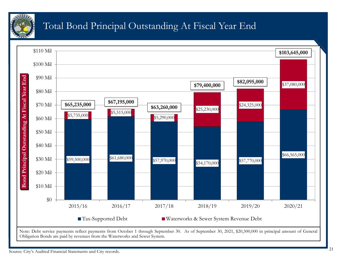

# Total Bond Principal Outstanding At Fiscal Year End

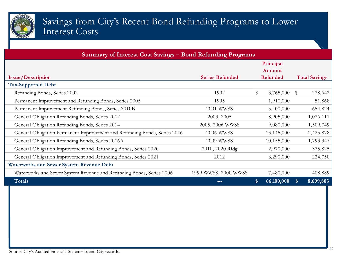

#### Savings from City's Recent Bond Refunding Programs to Lower Interest Costs

| Summary of Interest Cost Savings – Bond Refunding Programs                |                                                            |                  |                                    |  |  |  |  |  |  |
|---------------------------------------------------------------------------|------------------------------------------------------------|------------------|------------------------------------|--|--|--|--|--|--|
|                                                                           |                                                            | Principal        |                                    |  |  |  |  |  |  |
|                                                                           |                                                            | Amount           |                                    |  |  |  |  |  |  |
| <b>Issue/Description</b>                                                  | <b>Series Refunded</b><br>Refunded<br><b>Total Savings</b> |                  |                                    |  |  |  |  |  |  |
| <b>Tax-Supported Debt</b>                                                 |                                                            |                  |                                    |  |  |  |  |  |  |
| Refunding Bonds, Series 2002                                              | 1992                                                       | \$<br>3,765,000  | 228,642<br>$\sqrt[6]{\frac{1}{2}}$ |  |  |  |  |  |  |
| Permanent Improvement and Refunding Bonds, Series 2005                    | 1995                                                       | 1,910,000        | 51,868                             |  |  |  |  |  |  |
| Permanent Improvement Refunding Bonds, Series 2010B                       | 2001 WWSS                                                  | 5,400,000        | 654,824                            |  |  |  |  |  |  |
| General Obligation Refunding Bonds, Series 2012                           | 2003, 2005                                                 | 8,905,000        | 1,026,111                          |  |  |  |  |  |  |
| General Obligation Refunding Bonds, Series 2014                           | 2005, 2006 WWSS                                            | 9,080,000        | 1,509,749                          |  |  |  |  |  |  |
| General Obligation Permanent Improvement and Refunding Bonds, Series 2016 | <b>2006 WWSS</b>                                           | 13,145,000       | 2,425,878                          |  |  |  |  |  |  |
| General Obligation Refunding Bonds, Series 2016A                          | 2009 WWSS                                                  | 10,155,000       | 1,793,347                          |  |  |  |  |  |  |
| General Obligation Improvement and Refunding Bonds, Series 2020           | 2010, 2020 Rfdg                                            | 2,970,000        | 375,825                            |  |  |  |  |  |  |
| General Obligation Improvement and Refunding Bonds, Series 2021           | 2012                                                       | 3,290,000        | 224,750                            |  |  |  |  |  |  |
| <b>Waterworks and Sewer System Revenue Debt</b>                           |                                                            |                  |                                    |  |  |  |  |  |  |
| Waterworks and Sewer System Revenue and Refunding Bonds, Series 2006      | 1999 WWSS, 2000 WWSS                                       | 7,480,000        | 408,889                            |  |  |  |  |  |  |
| Totals                                                                    |                                                            | 66,100,000<br>\$ | 8,699,883<br>S.                    |  |  |  |  |  |  |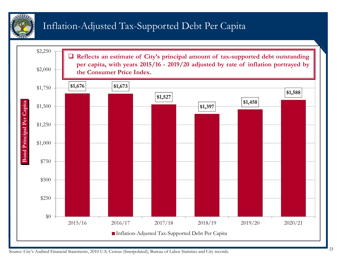

# Inflation-Adjusted Tax-Supported Debt Per Capita



Source: City's Audited Financial Statements, 2010 U.S. Census (Interpolated), Bureau of Labor Statistics and City records.